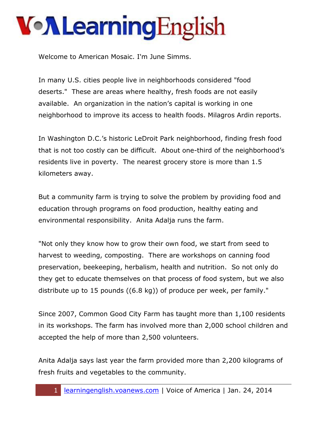## **Von Learning English**

Welcome to American Mosaic. I'm June Simms.

In many U.S. cities people live in neighborhoods considered "food deserts." These are areas where healthy, fresh foods are not easily available. An organization in the nation's capital is working in one neighborhood to improve its access to health foods. Milagros Ardin reports.

In Washington D.C.'s historic LeDroit Park neighborhood, finding fresh food that is not too costly can be difficult. About one-third of the neighborhood's residents live in poverty. The nearest grocery store is more than 1.5 kilometers away.

But a community farm is trying to solve the problem by providing food and education through programs on food production, healthy eating and environmental responsibility. Anita Adalja runs the farm.

"Not only they know how to grow their own food, we start from seed to harvest to weeding, composting. There are workshops on canning food preservation, beekeeping, herbalism, health and nutrition. So not only do they get to educate themselves on that process of food system, but we also distribute up to 15 pounds ((6.8 kg)) of produce per week, per family."

Since 2007, Common Good City Farm has taught more than 1,100 residents in its workshops. The farm has involved more than 2,000 school children and accepted the help of more than 2,500 volunteers.

Anita Adalja says last year the farm provided more than 2,200 kilograms of fresh fruits and vegetables to the community.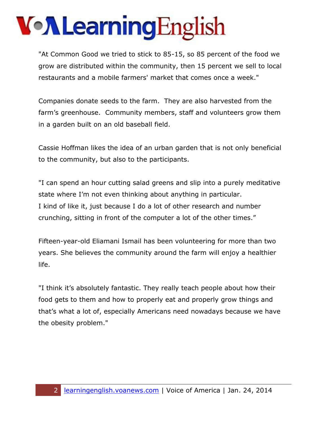## **Von Learning English**

"At Common Good we tried to stick to 85-15, so 85 percent of the food we grow are distributed within the community, then 15 percent we sell to local restaurants and a mobile farmers' market that comes once a week."

Companies donate seeds to the farm. They are also harvested from the farm's greenhouse. Community members, staff and volunteers grow them in a garden built on an old baseball field.

Cassie Hoffman likes the idea of an urban garden that is not only beneficial to the community, but also to the participants.

"I can spend an hour cutting salad greens and slip into a purely meditative state where I'm not even thinking about anything in particular. I kind of like it, just because I do a lot of other research and number crunching, sitting in front of the computer a lot of the other times."

Fifteen-year-old Eliamani Ismail has been volunteering for more than two years. She believes the community around the farm will enjoy a healthier life.

"I think it's absolutely fantastic. They really teach people about how their food gets to them and how to properly eat and properly grow things and that's what a lot of, especially Americans need nowadays because we have the obesity problem."